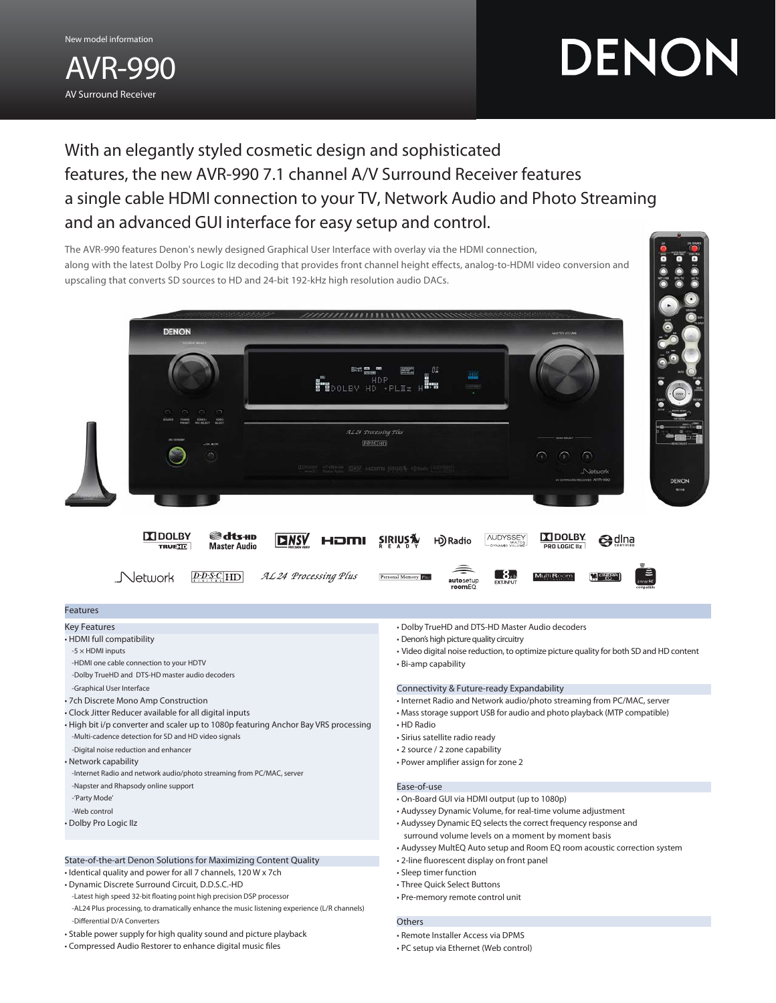AVR-990 AV Surround Receiver New model information

# DENON

With an elegantly styled cosmetic design and sophisticated features, the new AVR-990 7.1 channel A/V Surround Receiver features a single cable HDMI connection to your TV, Network Audio and Photo Streaming and an advanced GUI interface for easy setup and control.



# State-of-the-art Denon Solutions for Maximizing Content Quality

• Identical quality and power for all 7 channels, 120 W x 7ch

- Dynamic Discrete Surround Circuit, D.D.S.C.-HD
- -Latest high speed 32-bit floating point high precision DSP processor
- -AL24 Plus processing, to dramatically enhance the music listening experience (L/R channels) -Differential D/A Converters
- Stable power supply for high quality sound and picture playback
- Compressed Audio Restorer to enhance digital music files
- 2-line fluorescent display on front panel
- Sleep timer function
- Three Quick Select Buttons
- Pre-memory remote control unit

### **Others**

- Remote Installer Access via DPMS
- PC setup via Ethernet (Web control)